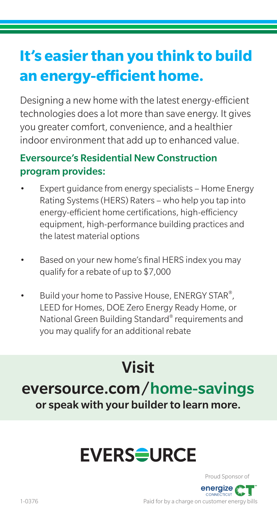## **It's easier than you think to build an energy-efficient home.**

Designing a new home with the latest energy-efficient technologies does a lot more than save energy. It gives you greater comfort, convenience, and a healthier indoor environment that add up to enhanced value.

#### Eversource's Residential New Construction program provides:

- Expert guidance from energy specialists Home Energy Rating Systems (HERS) Raters – who help you tap into energy-efficient home certifications, high-efficiency equipment, high-performance building practices and the latest material options
- Based on your new home's final HERS index you may qualify for a rebate of up to \$7,000
- Build your home to Passive House, ENERGY STAR®, LEED for Homes, DOE Zero Energy Ready Home, or National Green Building Standard® requirements and you may qualify for an additional rebate

## Visit eversource.com/home-savings or speak with your builder to learn more.

## **EVERS<del>Q</del>URCE**



Paid for by a charge on customer energy bills